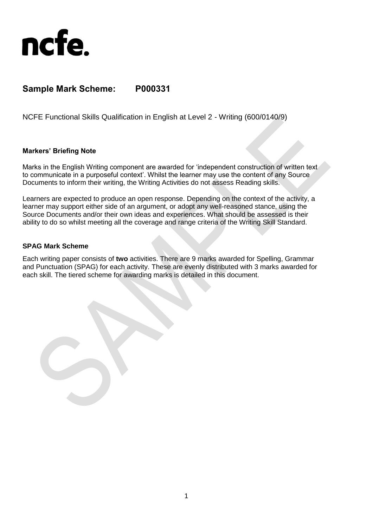

## **Sample Mark Scheme: P000331**

NCFE Functional Skills Qualification in English at Level 2 - Writing (600/0140/9)

## **Markers' Briefing Note**

Marks in the English Writing component are awarded for 'independent construction of written text to communicate in a purposeful context'. Whilst the learner may use the content of any Source Documents to inform their writing, the Writing Activities do not assess Reading skills.

Learners are expected to produce an open response. Depending on the context of the activity, a learner may support either side of an argument, or adopt any well-reasoned stance, using the Source Documents and/or their own ideas and experiences. What should be assessed is their ability to do so whilst meeting all the coverage and range criteria of the Writing Skill Standard.

## **SPAG Mark Scheme**

Each writing paper consists of **two** activities. There are 9 marks awarded for Spelling, Grammar and Punctuation (SPAG) for each activity. These are evenly distributed with 3 marks awarded for each skill. The tiered scheme for awarding marks is detailed in this document.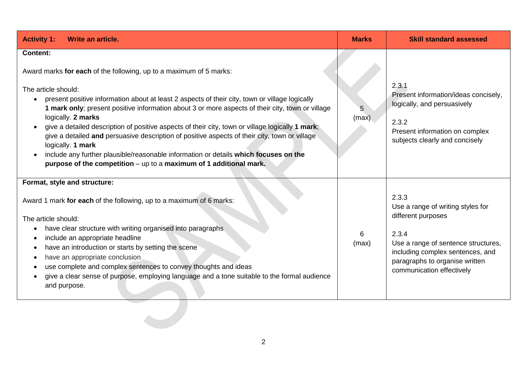| <b>Activity 1:</b><br>Write an article.                                                                                                                                                                                                                                                                                                                                                                                                                                                                                                                                                                                                                                                                                                       | <b>Marks</b> | <b>Skill standard assessed</b>                                                                                                                                                                                      |
|-----------------------------------------------------------------------------------------------------------------------------------------------------------------------------------------------------------------------------------------------------------------------------------------------------------------------------------------------------------------------------------------------------------------------------------------------------------------------------------------------------------------------------------------------------------------------------------------------------------------------------------------------------------------------------------------------------------------------------------------------|--------------|---------------------------------------------------------------------------------------------------------------------------------------------------------------------------------------------------------------------|
| <b>Content:</b><br>Award marks for each of the following, up to a maximum of 5 marks:<br>The article should:<br>present positive information about at least 2 aspects of their city, town or village logically<br>$\bullet$<br>1 mark only; present positive information about 3 or more aspects of their city, town or village<br>logically. 2 marks<br>give a detailed description of positive aspects of their city, town or village logically 1 mark;<br>give a detailed and persuasive description of positive aspects of their city, town or village<br>logically. 1 mark<br>include any further plausible/reasonable information or details which focuses on the<br>purpose of the competition - up to a maximum of 1 additional mark. | 5<br>(max)   | 2.3.1<br>Present information/ideas concisely,<br>logically, and persuasively<br>2.3.2<br>Present information on complex<br>subjects clearly and concisely                                                           |
| Format, style and structure:<br>Award 1 mark for each of the following, up to a maximum of 6 marks:<br>The article should:<br>have clear structure with writing organised into paragraphs<br>include an appropriate headline<br>have an introduction or starts by setting the scene<br>have an appropriate conclusion<br>use complete and complex sentences to convey thoughts and ideas<br>give a clear sense of purpose, employing language and a tone suitable to the formal audience<br>and purpose.                                                                                                                                                                                                                                      | 6<br>(max)   | 2.3.3<br>Use a range of writing styles for<br>different purposes<br>2.3.4<br>Use a range of sentence structures,<br>including complex sentences, and<br>paragraphs to organise written<br>communication effectively |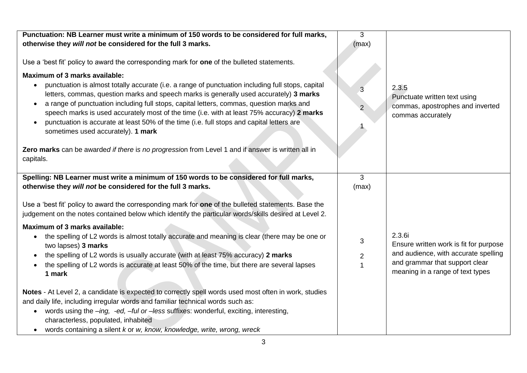| Punctuation: NB Learner must write a minimum of 150 words to be considered for full marks,<br>otherwise they will not be considered for the full 3 marks.<br>Use a 'best fit' policy to award the corresponding mark for one of the bulleted statements.<br>Maximum of 3 marks available:<br>punctuation is almost totally accurate (i.e. a range of punctuation including full stops, capital<br>$\bullet$<br>letters, commas, question marks and speech marks is generally used accurately) 3 marks<br>a range of punctuation including full stops, capital letters, commas, question marks and<br>$\bullet$<br>speech marks is used accurately most of the time (i.e. with at least 75% accuracy) 2 marks<br>punctuation is accurate at least 50% of the time (i.e. full stops and capital letters are<br>sometimes used accurately). 1 mark<br>Zero marks can be awarded if there is no progression from Level 1 and if answer is written all in | 3<br>(max)<br>$\overline{3}$<br>$\overline{2}$ | 2.3.5<br>Punctuate written text using<br>commas, apostrophes and inverted<br>commas accurately                                                                 |
|------------------------------------------------------------------------------------------------------------------------------------------------------------------------------------------------------------------------------------------------------------------------------------------------------------------------------------------------------------------------------------------------------------------------------------------------------------------------------------------------------------------------------------------------------------------------------------------------------------------------------------------------------------------------------------------------------------------------------------------------------------------------------------------------------------------------------------------------------------------------------------------------------------------------------------------------------|------------------------------------------------|----------------------------------------------------------------------------------------------------------------------------------------------------------------|
| capitals.                                                                                                                                                                                                                                                                                                                                                                                                                                                                                                                                                                                                                                                                                                                                                                                                                                                                                                                                            |                                                |                                                                                                                                                                |
| Spelling: NB Learner must write a minimum of 150 words to be considered for full marks,<br>otherwise they will not be considered for the full 3 marks.                                                                                                                                                                                                                                                                                                                                                                                                                                                                                                                                                                                                                                                                                                                                                                                               | 3<br>(max)                                     |                                                                                                                                                                |
| Use a 'best fit' policy to award the corresponding mark for one of the bulleted statements. Base the<br>judgement on the notes contained below which identify the particular words/skills desired at Level 2.                                                                                                                                                                                                                                                                                                                                                                                                                                                                                                                                                                                                                                                                                                                                        |                                                |                                                                                                                                                                |
| <b>Maximum of 3 marks available:</b><br>the spelling of L2 words is almost totally accurate and meaning is clear (there may be one or<br>$\bullet$<br>two lapses) 3 marks<br>the spelling of L2 words is usually accurate (with at least 75% accuracy) 2 marks<br>the spelling of L2 words is accurate at least 50% of the time, but there are several lapses<br>1 mark                                                                                                                                                                                                                                                                                                                                                                                                                                                                                                                                                                              | 3<br>$\overline{2}$                            | 2.3.6i<br>Ensure written work is fit for purpose<br>and audience, with accurate spelling<br>and grammar that support clear<br>meaning in a range of text types |
| Notes - At Level 2, a candidate is expected to correctly spell words used most often in work, studies<br>and daily life, including irregular words and familiar technical words such as:<br>words using the -ing, -ed, -ful or -less suffixes: wonderful, exciting, interesting,<br>$\bullet$<br>characterless, populated, inhabited<br>words containing a silent k or w, know, knowledge, write, wrong, wreck                                                                                                                                                                                                                                                                                                                                                                                                                                                                                                                                       |                                                |                                                                                                                                                                |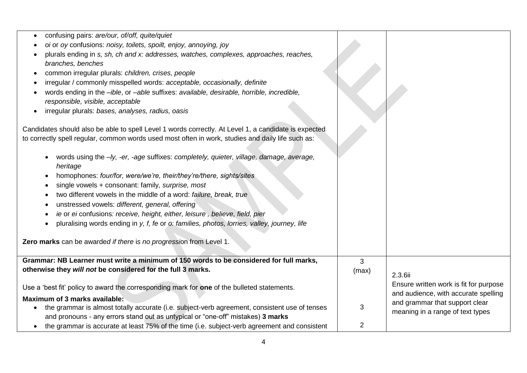| confusing pairs: are/our, of/off, quite/quiet<br>oi or oy confusions: noisy, toilets, spoilt, enjoy, annoying, joy<br>plurals ending in s, sh, ch and x: addresses, watches, complexes, approaches, reaches,<br>branches, benches<br>common irregular plurals: children, crises, people<br>$\bullet$<br>irregular / commonly misspelled words: acceptable, occasionally, definite<br>words ending in the -ible, or -able suffixes: available, desirable, horrible, incredible,<br>responsible, visible, acceptable<br>irregular plurals: bases, analyses, radius, oasis<br>$\bullet$                         |                |                                        |
|--------------------------------------------------------------------------------------------------------------------------------------------------------------------------------------------------------------------------------------------------------------------------------------------------------------------------------------------------------------------------------------------------------------------------------------------------------------------------------------------------------------------------------------------------------------------------------------------------------------|----------------|----------------------------------------|
|                                                                                                                                                                                                                                                                                                                                                                                                                                                                                                                                                                                                              |                |                                        |
| Candidates should also be able to spell Level 1 words correctly. At Level 1, a candidate is expected                                                                                                                                                                                                                                                                                                                                                                                                                                                                                                         |                |                                        |
| to correctly spell regular, common words used most often in work, studies and daily life such as:                                                                                                                                                                                                                                                                                                                                                                                                                                                                                                            |                |                                        |
| words using the -ly, -er, -age suffixes: completely, quieter, village, damage, average,<br>heritage<br>homophones: four/for, were/we're, their/they're/there, sights/sites<br>single vowels + consonant: family, surprise, most<br>two different vowels in the middle of a word: failure, break, true<br>unstressed vowels: different, general, offering<br>ie or ei confusions: receive, height, either, leisure, believe, field, pier<br>pluralising words ending in y, f, fe or o: families, photos, lorries, valley, journey, life<br>Zero marks can be awarded if there is no progression from Level 1. |                |                                        |
| Grammar: NB Learner must write a minimum of 150 words to be considered for full marks,                                                                                                                                                                                                                                                                                                                                                                                                                                                                                                                       | 3              |                                        |
| otherwise they will not be considered for the full 3 marks.                                                                                                                                                                                                                                                                                                                                                                                                                                                                                                                                                  | (max)          |                                        |
|                                                                                                                                                                                                                                                                                                                                                                                                                                                                                                                                                                                                              |                | 2.3.6ii                                |
| Use a 'best fit' policy to award the corresponding mark for one of the bulleted statements.                                                                                                                                                                                                                                                                                                                                                                                                                                                                                                                  |                | Ensure written work is fit for purpose |
|                                                                                                                                                                                                                                                                                                                                                                                                                                                                                                                                                                                                              |                | and audience, with accurate spelling   |
| Maximum of 3 marks available:                                                                                                                                                                                                                                                                                                                                                                                                                                                                                                                                                                                |                | and grammar that support clear         |
| the grammar is almost totally accurate (i.e. subject-verb agreement, consistent use of tenses                                                                                                                                                                                                                                                                                                                                                                                                                                                                                                                | 3              |                                        |
| and pronouns - any errors stand out as untypical or "one-off" mistakes) 3 marks                                                                                                                                                                                                                                                                                                                                                                                                                                                                                                                              |                | meaning in a range of text types       |
| the grammar is accurate at least 75% of the time (i.e. subject-verb agreement and consistent<br>$\bullet$                                                                                                                                                                                                                                                                                                                                                                                                                                                                                                    | $\overline{c}$ |                                        |
|                                                                                                                                                                                                                                                                                                                                                                                                                                                                                                                                                                                                              |                |                                        |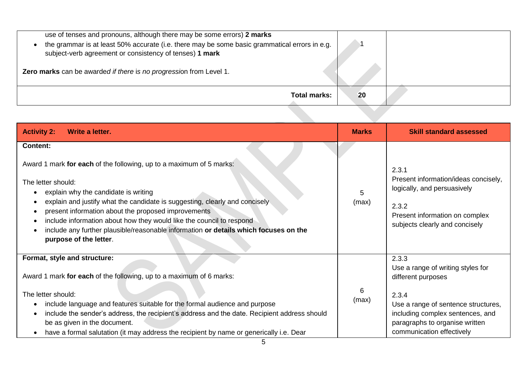| use of tenses and pronouns, although there may be some errors) 2 marks<br>the grammar is at least 50% accurate (i.e. there may be some basic grammatical errors in e.g.<br>$\bullet$<br>subject-verb agreement or consistency of tenses) 1 mark |    |
|-------------------------------------------------------------------------------------------------------------------------------------------------------------------------------------------------------------------------------------------------|----|
| Zero marks can be awarded if there is no progression from Level 1.                                                                                                                                                                              |    |
| <b>Total marks:</b>                                                                                                                                                                                                                             | 20 |
|                                                                                                                                                                                                                                                 |    |

| <b>Activity 2:</b><br>Write a letter.                                                                                                                                                                                                                                                                                                                                                                                                                                          | <b>Marks</b> | <b>Skill standard assessed</b>                                                                                                                            |  |
|--------------------------------------------------------------------------------------------------------------------------------------------------------------------------------------------------------------------------------------------------------------------------------------------------------------------------------------------------------------------------------------------------------------------------------------------------------------------------------|--------------|-----------------------------------------------------------------------------------------------------------------------------------------------------------|--|
| <b>Content:</b>                                                                                                                                                                                                                                                                                                                                                                                                                                                                |              |                                                                                                                                                           |  |
| Award 1 mark for each of the following, up to a maximum of 5 marks:<br>The letter should:<br>explain why the candidate is writing<br>explain and justify what the candidate is suggesting, clearly and concisely<br>present information about the proposed improvements<br>$\bullet$<br>include information about how they would like the council to respond<br>include any further plausible/reasonable information or details which focuses on the<br>purpose of the letter. |              | 2.3.1<br>Present information/ideas concisely,<br>logically, and persuasively<br>2.3.2<br>Present information on complex<br>subjects clearly and concisely |  |
| Format, style and structure:                                                                                                                                                                                                                                                                                                                                                                                                                                                   |              | 2.3.3<br>Use a range of writing styles for                                                                                                                |  |
| Award 1 mark for each of the following, up to a maximum of 6 marks:                                                                                                                                                                                                                                                                                                                                                                                                            |              | different purposes                                                                                                                                        |  |
| The letter should:<br>include language and features suitable for the formal audience and purpose<br>include the sender's address, the recipient's address and the date. Recipient address should<br>be as given in the document.<br>have a formal salutation (it may address the recipient by name or generically i.e. Dear<br>$\bullet$                                                                                                                                       |              | 2.3.4<br>Use a range of sentence structures,<br>including complex sentences, and<br>paragraphs to organise written<br>communication effectively           |  |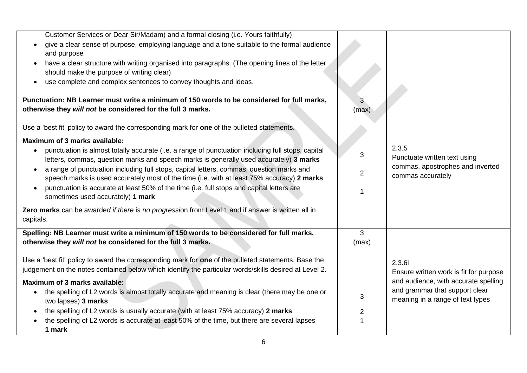| Customer Services or Dear Sir/Madam) and a formal closing (i.e. Yours faithfully)                              |                |                                        |
|----------------------------------------------------------------------------------------------------------------|----------------|----------------------------------------|
|                                                                                                                |                |                                        |
| give a clear sense of purpose, employing language and a tone suitable to the formal audience                   |                |                                        |
| and purpose                                                                                                    |                |                                        |
| have a clear structure with writing organised into paragraphs. (The opening lines of the letter<br>$\bullet$   |                |                                        |
| should make the purpose of writing clear)                                                                      |                |                                        |
| use complete and complex sentences to convey thoughts and ideas.<br>$\bullet$                                  |                |                                        |
|                                                                                                                |                |                                        |
| Punctuation: NB Learner must write a minimum of 150 words to be considered for full marks,                     | 3 <sup>5</sup> |                                        |
| otherwise they will not be considered for the full 3 marks.                                                    | (max)          |                                        |
|                                                                                                                |                |                                        |
| Use a 'best fit' policy to award the corresponding mark for one of the bulleted statements.                    |                |                                        |
|                                                                                                                |                |                                        |
| <b>Maximum of 3 marks available:</b>                                                                           |                |                                        |
| punctuation is almost totally accurate (i.e. a range of punctuation including full stops, capital<br>$\bullet$ | 3              | 2.3.5                                  |
| letters, commas, question marks and speech marks is generally used accurately) 3 marks                         |                | Punctuate written text using           |
| a range of punctuation including full stops, capital letters, commas, question marks and<br>$\bullet$          |                | commas, apostrophes and inverted       |
| speech marks is used accurately most of the time (i.e. with at least 75% accuracy) 2 marks                     | $\overline{2}$ | commas accurately                      |
| punctuation is accurate at least 50% of the time (i.e. full stops and capital letters are<br>$\bullet$         |                |                                        |
| sometimes used accurately) 1 mark                                                                              |                |                                        |
|                                                                                                                |                |                                        |
| Zero marks can be awarded if there is no progression from Level 1 and if answer is written all in              |                |                                        |
| capitals.                                                                                                      |                |                                        |
| Spelling: NB Learner must write a minimum of 150 words to be considered for full marks,                        | 3              |                                        |
| otherwise they will not be considered for the full 3 marks.                                                    | (max)          |                                        |
|                                                                                                                |                |                                        |
| Use a 'best fit' policy to award the corresponding mark for one of the bulleted statements. Base the           |                |                                        |
|                                                                                                                |                | 2.3.6i                                 |
| judgement on the notes contained below which identify the particular words/skills desired at Level 2.          |                | Ensure written work is fit for purpose |
| Maximum of 3 marks available:                                                                                  |                | and audience, with accurate spelling   |
| the spelling of L2 words is almost totally accurate and meaning is clear (there may be one or<br>$\bullet$     |                | and grammar that support clear         |
| two lapses) 3 marks                                                                                            | 3              | meaning in a range of text types       |
| the spelling of L2 words is usually accurate (with at least 75% accuracy) 2 marks                              | $\overline{2}$ |                                        |
| the spelling of L2 words is accurate at least 50% of the time, but there are several lapses                    |                |                                        |
| 1 mark                                                                                                         |                |                                        |
|                                                                                                                |                |                                        |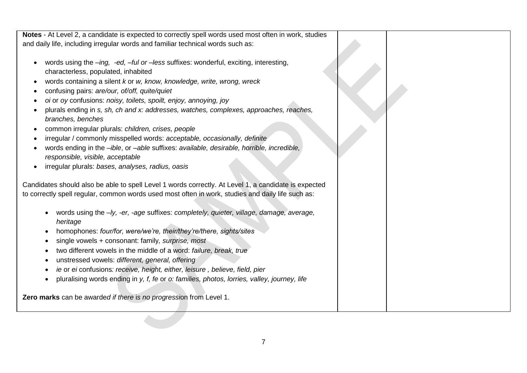**Notes** - At Level 2, a candidate is expected to correctly spell words used most often in work, studies and daily life, including irregular words and familiar technical words such as:

- words using the *–ing, -ed, –ful or –less* suffixes: wonderful, exciting, interesting, characterless, populated, inhabited
- words containing a silent *k* or *w, know, knowledge, write, wrong, wreck*
- confusing pairs: *are/our, of/off, quite/quiet*
- *oi* or *oy* confusions: *noisy, toilets, spoilt, enjoy, annoying, joy*
- plurals ending in *s, sh, ch and x: addresses, watches, complexes, approaches, reaches, branches, benches*
- common irregular plurals: *children, crises, people*
- irregular / commonly misspelled words: *acceptable, occasionally, definite*
- words ending in the *–ible*, or *–able* suffixes: *available, desirable, horrible, incredible, responsible, visible, acceptable*
- irregular plurals: *bases, analyses, radius, oasis*

Candidates should also be able to spell Level 1 words correctly. At Level 1, a candidate is expected to correctly spell regular, common words used most often in work, studies and daily life such as:

- words using the *–ly, -er, -age* suffixes: *completely, quieter, village, damage, average, heritage*
- homophones: *four/for, were/we're, their/they're/there, sights/sites*
- single vowels + consonant: family*, surprise, most*
- two different vowels in the middle of a word: *failure, break, true*
- unstressed vowels: *different, general, offering*
- *ie* or *ei* confusions*: receive, height, either, leisure , believe, field, pier*
- pluralising words ending in *y, f, fe* or *o: families, photos, lorries, valley, journey, life*

**Zero marks** can be awarde*d if there* i*s no progressi*on from Level 1.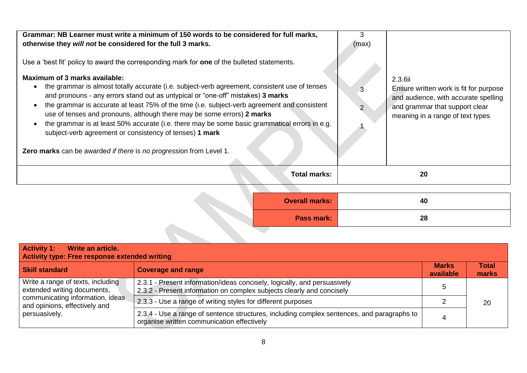| Grammar: NB Learner must write a minimum of 150 words to be considered for full marks,<br>otherwise they will not be considered for the full 3 marks.<br>Use a 'best fit' policy to award the corresponding mark for <b>one</b> of the bulleted statements.<br>Maximum of 3 marks available:<br>the grammar is almost totally accurate (i.e. subject-verb agreement, consistent use of tenses<br>and pronouns - any errors stand out as untypical or "one-off" mistakes) 3 marks<br>the grammar is accurate at least 75% of the time (i.e. subject-verb agreement and consistent<br>use of tenses and pronouns, although there may be some errors) 2 marks<br>the grammar is at least 50% accurate (i.e. there may be some basic grammatical errors in e.g.<br>subject-verb agreement or consistency of tenses) 1 mark<br>Zero marks can be awarded if there is no progression from Level 1. | 3<br>(max) | 2.3.6ii<br>Ensure written work is fit for purpose<br>and audience, with accurate spelling<br>and grammar that support clear<br>meaning in a range of text types |
|----------------------------------------------------------------------------------------------------------------------------------------------------------------------------------------------------------------------------------------------------------------------------------------------------------------------------------------------------------------------------------------------------------------------------------------------------------------------------------------------------------------------------------------------------------------------------------------------------------------------------------------------------------------------------------------------------------------------------------------------------------------------------------------------------------------------------------------------------------------------------------------------|------------|-----------------------------------------------------------------------------------------------------------------------------------------------------------------|
| <b>Total marks:</b>                                                                                                                                                                                                                                                                                                                                                                                                                                                                                                                                                                                                                                                                                                                                                                                                                                                                          |            | 20                                                                                                                                                              |
|                                                                                                                                                                                                                                                                                                                                                                                                                                                                                                                                                                                                                                                                                                                                                                                                                                                                                              |            |                                                                                                                                                                 |

| <b>Overall marks:</b> | 40 |
|-----------------------|----|
| Pass mark:            | 28 |
|                       |    |

| <b>Activity 1:</b><br>Write an article.<br>Activity type: Free response extended writing                                                               |                                                                                                                                                   |                           |                       |  |
|--------------------------------------------------------------------------------------------------------------------------------------------------------|---------------------------------------------------------------------------------------------------------------------------------------------------|---------------------------|-----------------------|--|
| <b>Skill standard</b>                                                                                                                                  | <b>Coverage and range</b>                                                                                                                         | <b>Marks</b><br>available | <b>Total</b><br>marks |  |
| Write a range of texts, including<br>extended writing documents,<br>communicating information, ideas<br>and opinions, effectively and<br>persuasively. | 2.3.1 - Present information/ideas concisely, logically, and persuasively<br>2.3.2 - Present information on complex subjects clearly and concisely |                           | 20                    |  |
|                                                                                                                                                        | 2.3.3 - Use a range of writing styles for different purposes                                                                                      |                           |                       |  |
|                                                                                                                                                        | 2.3.4 - Use a range of sentence structures, including complex sentences, and paragraphs to<br>organise written communication effectively          |                           |                       |  |